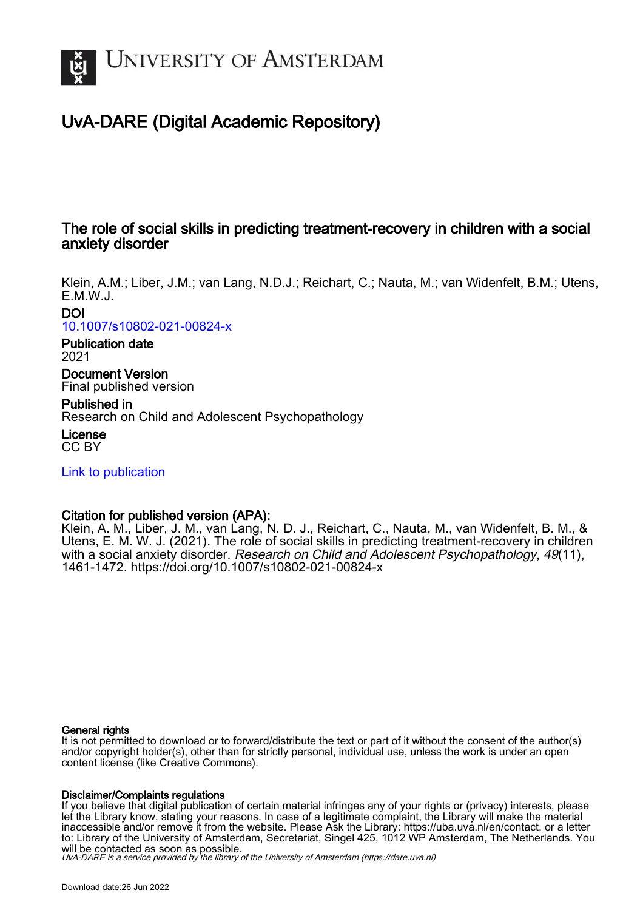

# UvA-DARE (Digital Academic Repository)

## The role of social skills in predicting treatment-recovery in children with a social anxiety disorder

Klein, A.M.; Liber, J.M.; van Lang, N.D.J.; Reichart, C.; Nauta, M.; van Widenfelt, B.M.; Utens, E.M.W.J.

DOI

[10.1007/s10802-021-00824-x](https://doi.org/10.1007/s10802-021-00824-x)

Publication date 2021

Document Version Final published version

Published in Research on Child and Adolescent Psychopathology

License CC BY

[Link to publication](https://dare.uva.nl/personal/pure/en/publications/the-role-of-social-skills-in-predicting-treatmentrecovery-in-children-with-a-social-anxiety-disorder(ab4e54ec-05b5-46f3-b577-ed146ffd348e).html)

## Citation for published version (APA):

Klein, A. M., Liber, J. M., van Lang, N. D. J., Reichart, C., Nauta, M., van Widenfelt, B. M., & Utens, E. M. W. J. (2021). The role of social skills in predicting treatment-recovery in children with a social anxiety disorder. Research on Child and Adolescent Psychopathology, 49(11), 1461-1472.<https://doi.org/10.1007/s10802-021-00824-x>

## General rights

It is not permitted to download or to forward/distribute the text or part of it without the consent of the author(s) and/or copyright holder(s), other than for strictly personal, individual use, unless the work is under an open content license (like Creative Commons).

## Disclaimer/Complaints regulations

If you believe that digital publication of certain material infringes any of your rights or (privacy) interests, please let the Library know, stating your reasons. In case of a legitimate complaint, the Library will make the material inaccessible and/or remove it from the website. Please Ask the Library: https://uba.uva.nl/en/contact, or a letter to: Library of the University of Amsterdam, Secretariat, Singel 425, 1012 WP Amsterdam, The Netherlands. You will be contacted as soon as possible.

UvA-DARE is a service provided by the library of the University of Amsterdam (http*s*://dare.uva.nl)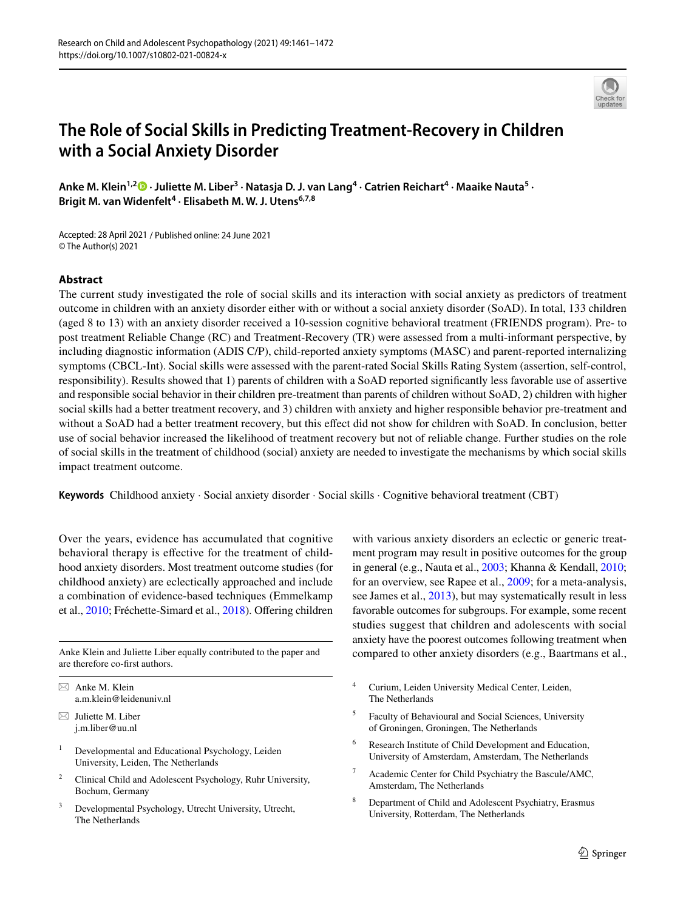

## **The Role of Social Skills in Predicting Treatment‑Recovery in Children with a Social Anxiety Disorder**

Anke M. Klein<sup>1,2</sup><sup>®</sup> [·](http://orcid.org/0000-0002-0914-0996) Juliette M. Liber<sup>3</sup> · Natasja D. J. van Lang<sup>4</sup> · Catrien Reichart<sup>4</sup> · Maaike Nauta<sup>5</sup> · **Brigit M. van Widenfelt<sup>4</sup> · Elisabeth M. W. J. Utens6,7,8**

Accepted: 28 April 2021 / Published online: 24 June 2021 © The Author(s) 2021

## **Abstract**

The current study investigated the role of social skills and its interaction with social anxiety as predictors of treatment outcome in children with an anxiety disorder either with or without a social anxiety disorder (SoAD). In total, 133 children (aged 8 to 13) with an anxiety disorder received a 10-session cognitive behavioral treatment (FRIENDS program). Pre- to post treatment Reliable Change (RC) and Treatment-Recovery (TR) were assessed from a multi-informant perspective, by including diagnostic information (ADIS C/P), child-reported anxiety symptoms (MASC) and parent-reported internalizing symptoms (CBCL-Int). Social skills were assessed with the parent-rated Social Skills Rating System (assertion, self-control, responsibility). Results showed that 1) parents of children with a SoAD reported signifcantly less favorable use of assertive and responsible social behavior in their children pre-treatment than parents of children without SoAD, 2) children with higher social skills had a better treatment recovery, and 3) children with anxiety and higher responsible behavior pre-treatment and without a SoAD had a better treatment recovery, but this efect did not show for children with SoAD. In conclusion, better use of social behavior increased the likelihood of treatment recovery but not of reliable change. Further studies on the role of social skills in the treatment of childhood (social) anxiety are needed to investigate the mechanisms by which social skills impact treatment outcome.

**Keywords** Childhood anxiety · Social anxiety disorder · Social skills · Cognitive behavioral treatment (CBT)

Over the years, evidence has accumulated that cognitive behavioral therapy is efective for the treatment of childhood anxiety disorders. Most treatment outcome studies (for childhood anxiety) are eclectically approached and include a combination of evidence-based techniques (Emmelkamp et al., [2010](#page-11-0); Fréchette-Simard et al., [2018](#page-11-1)). Ofering children

are therefore co-frst authors.

- $\boxtimes$  Juliette M. Liber j.m.liber@uu.nl
- <sup>1</sup> Developmental and Educational Psychology, Leiden University, Leiden, The Netherlands
- <sup>2</sup> Clinical Child and Adolescent Psychology, Ruhr University, Bochum, Germany
- Developmental Psychology, Utrecht University, Utrecht, The Netherlands

with various anxiety disorders an eclectic or generic treatment program may result in positive outcomes for the group in general (e.g., Nauta et al., [2003](#page-11-2); Khanna & Kendall, [2010](#page-11-3); for an overview, see Rapee et al., [2009;](#page-11-4) for a meta-analysis, see James et al., [2013](#page-11-5)), but may systematically result in less favorable outcomes for subgroups. For example, some recent studies suggest that children and adolescents with social anxiety have the poorest outcomes following treatment when Anke Klein and Juliette Liber equally contributed to the paper and compared to other anxiety disorders (e.g., Baartmans et al.,

- <sup>4</sup> Curium, Leiden University Medical Center, Leiden, The Netherlands
- <sup>5</sup> Faculty of Behavioural and Social Sciences, University of Groningen, Groningen, The Netherlands
- Research Institute of Child Development and Education, University of Amsterdam, Amsterdam, The Netherlands
- Academic Center for Child Psychiatry the Bascule/AMC, Amsterdam, The Netherlands
- <sup>8</sup> Department of Child and Adolescent Psychiatry, Erasmus University, Rotterdam, The Netherlands

 $\boxtimes$  Anke M. Klein a.m.klein@leidenuniv.nl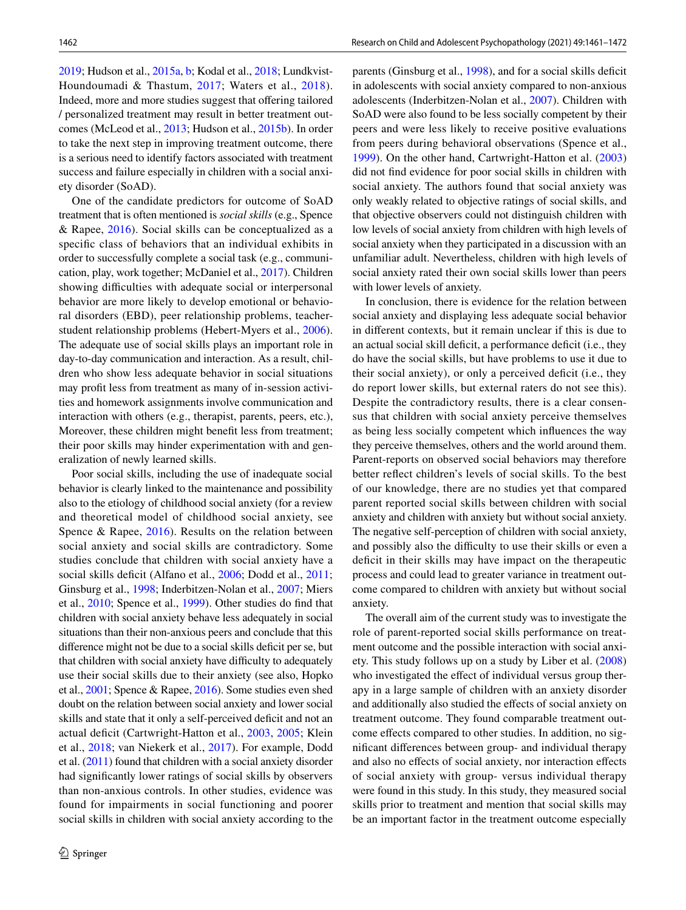[2019;](#page-10-0) Hudson et al.[, 2015a,](#page-11-6) [b](#page-11-7); Kodal et al., [2018;](#page-11-8) Lundkvist-Houndoumadi & Thastum, [2017](#page-11-9); Waters et al., [2018](#page-12-0)). Indeed, more and more studies suggest that offering tailored / personalized treatment may result in better treatment outcomes (McLeod et al., [2013](#page-11-10); Hudson et al., [2015b](#page-11-7)). In order to take the next step in improving treatment outcome, there is a serious need to identify factors associated with treatment success and failure especially in children with a social anxiety disorder (SoAD).

One of the candidate predictors for outcome of SoAD treatment that is often mentioned is *social skills* (e.g., Spence & Rapee,  $2016$ ). Social skills can be conceptualized as a specifc class of behaviors that an individual exhibits in order to successfully complete a social task (e.g., communication, play, work together; McDaniel et al., [2017](#page-11-11)). Children showing difficulties with adequate social or interpersonal behavior are more likely to develop emotional or behavioral disorders (EBD), peer relationship problems, teacherstudent relationship problems (Hebert-Myers et al., [2006](#page-11-12)). The adequate use of social skills plays an important role in day-to-day communication and interaction. As a result, children who show less adequate behavior in social situations may proft less from treatment as many of in-session activities and homework assignments involve communication and interaction with others (e.g., therapist, parents, peers, etc.), Moreover, these children might beneft less from treatment; their poor skills may hinder experimentation with and generalization of newly learned skills.

Poor social skills, including the use of inadequate social behavior is clearly linked to the maintenance and possibility also to the etiology of childhood social anxiety (for a review and theoretical model of childhood social anxiety, see Spence & Rapee, [2016\)](#page-12-1). Results on the relation between social anxiety and social skills are contradictory. Some studies conclude that children with social anxiety have a social skills deficit (Alfano et al., [2006;](#page-10-1) Dodd et al., [2011](#page-11-13); Ginsburg et al., [1998](#page-11-14); Inderbitzen-Nolan et al., [2007](#page-11-15); Miers et al., [2010;](#page-11-16) Spence et al., [1999](#page-12-2)). Other studies do fnd that children with social anxiety behave less adequately in social situations than their non-anxious peers and conclude that this difference might not be due to a social skills deficit per se, but that children with social anxiety have difficulty to adequately use their social skills due to their anxiety (see also, Hopko et al., [2001](#page-11-17); Spence & Rapee, [2016\)](#page-12-1). Some studies even shed doubt on the relation between social anxiety and lower social skills and state that it only a self-perceived deficit and not an actual deficit (Cartwright-Hatton et al., [2003,](#page-10-2) [2005;](#page-10-3) Klein et al., [2018;](#page-11-18) van Niekerk et al., [2017](#page-12-3)). For example, Dodd et al. ([2011\)](#page-11-13) found that children with a social anxiety disorder had signifcantly lower ratings of social skills by observers than non-anxious controls. In other studies, evidence was found for impairments in social functioning and poorer social skills in children with social anxiety according to the parents (Ginsburg et al., [1998](#page-11-14)), and for a social skills deficit in adolescents with social anxiety compared to non-anxious adolescents (Inderbitzen-Nolan et al., [2007\)](#page-11-15). Children with SoAD were also found to be less socially competent by their peers and were less likely to receive positive evaluations from peers during behavioral observations (Spence et al., [1999](#page-12-2)). On the other hand, Cartwright-Hatton et al. ([2003\)](#page-10-2) did not fnd evidence for poor social skills in children with social anxiety. The authors found that social anxiety was only weakly related to objective ratings of social skills, and that objective observers could not distinguish children with low levels of social anxiety from children with high levels of social anxiety when they participated in a discussion with an unfamiliar adult. Nevertheless, children with high levels of social anxiety rated their own social skills lower than peers with lower levels of anxiety.

In conclusion, there is evidence for the relation between social anxiety and displaying less adequate social behavior in diferent contexts, but it remain unclear if this is due to an actual social skill deficit, a performance deficit (i.e., they do have the social skills, but have problems to use it due to their social anxiety), or only a perceived deficit (i.e., they do report lower skills, but external raters do not see this). Despite the contradictory results, there is a clear consensus that children with social anxiety perceive themselves as being less socially competent which infuences the way they perceive themselves, others and the world around them. Parent-reports on observed social behaviors may therefore better refect children's levels of social skills. To the best of our knowledge, there are no studies yet that compared parent reported social skills between children with social anxiety and children with anxiety but without social anxiety. The negative self-perception of children with social anxiety, and possibly also the difficulty to use their skills or even a defcit in their skills may have impact on the therapeutic process and could lead to greater variance in treatment outcome compared to children with anxiety but without social anxiety.

The overall aim of the current study was to investigate the role of parent-reported social skills performance on treatment outcome and the possible interaction with social anxiety. This study follows up on a study by Liber et al. ([2008\)](#page-11-19) who investigated the effect of individual versus group therapy in a large sample of children with an anxiety disorder and additionally also studied the efects of social anxiety on treatment outcome. They found comparable treatment outcome efects compared to other studies. In addition, no signifcant diferences between group- and individual therapy and also no efects of social anxiety, nor interaction efects of social anxiety with group- versus individual therapy were found in this study. In this study, they measured social skills prior to treatment and mention that social skills may be an important factor in the treatment outcome especially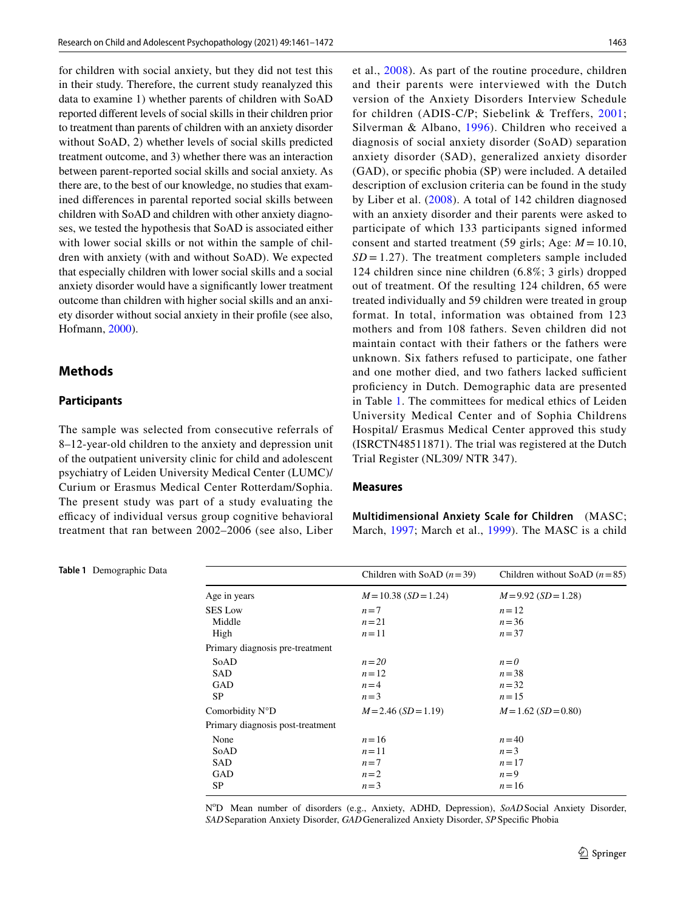for children with social anxiety, but they did not test this in their study. Therefore, the current study reanalyzed this data to examine 1) whether parents of children with SoAD reported diferent levels of social skills in their children prior to treatment than parents of children with an anxiety disorder without SoAD, 2) whether levels of social skills predicted treatment outcome, and 3) whether there was an interaction between parent-reported social skills and social anxiety. As there are, to the best of our knowledge, no studies that examined diferences in parental reported social skills between children with SoAD and children with other anxiety diagnoses, we tested the hypothesis that SoAD is associated either with lower social skills or not within the sample of children with anxiety (with and without SoAD). We expected that especially children with lower social skills and a social anxiety disorder would have a signifcantly lower treatment outcome than children with higher social skills and an anxiety disorder without social anxiety in their profle (see also, Hofmann, [2000](#page-11-20)).

## **Methods**

## **Participants**

The sample was selected from consecutive referrals of 8–12-year-old children to the anxiety and depression unit of the outpatient university clinic for child and adolescent psychiatry of Leiden University Medical Center (LUMC)/ Curium or Erasmus Medical Center Rotterdam/Sophia. The present study was part of a study evaluating the efficacy of individual versus group cognitive behavioral treatment that ran between 2002–2006 (see also, Liber

<span id="page-3-0"></span>**Table 1** Demographic Data

et al., [2008\)](#page-11-19). As part of the routine procedure, children and their parents were interviewed with the Dutch version of the Anxiety Disorders Interview Schedule for children (ADIS-C/P; Siebelink & Treffers, [2001](#page-12-4); Silverman & Albano, [1996\)](#page-12-5). Children who received a diagnosis of social anxiety disorder (SoAD) separation anxiety disorder (SAD), generalized anxiety disorder (GAD), or specifc phobia (SP) were included. A detailed description of exclusion criteria can be found in the study by Liber et al. [\(2008](#page-11-19)). A total of 142 children diagnosed with an anxiety disorder and their parents were asked to participate of which 133 participants signed informed consent and started treatment (59 girls; Age: *M* = 10.10,  $SD = 1.27$ . The treatment completers sample included 124 children since nine children (6.8%; 3 girls) dropped out of treatment. Of the resulting 124 children, 65 were treated individually and 59 children were treated in group format. In total, information was obtained from 123 mothers and from 108 fathers. Seven children did not maintain contact with their fathers or the fathers were unknown. Six fathers refused to participate, one father and one mother died, and two fathers lacked sufficient profciency in Dutch. Demographic data are presented in Table [1.](#page-3-0) The committees for medical ethics of Leiden University Medical Center and of Sophia Childrens Hospital/ Erasmus Medical Center approved this study (ISRCTN48511871). The trial was registered at the Dutch Trial Register (NL309/ NTR 347).

#### **Measures**

**Multidimensional Anxiety Scale for Children** (MASC; March, [1997;](#page-11-21) March et al., [1999](#page-11-22)). The MASC is a child

|                                  | Children with SoAD $(n=39)$ | Children without SoAD $(n=85)$ |
|----------------------------------|-----------------------------|--------------------------------|
| Age in years                     | $M=10.38$ (SD = 1.24)       | $M=9.92$ (SD = 1.28)           |
| <b>SES Low</b>                   | $n=7$                       | $n=12$                         |
| Middle                           | $n=21$                      | $n = 36$                       |
| High                             | $n=11$                      | $n = 37$                       |
| Primary diagnosis pre-treatment  |                             |                                |
| SoAD                             | $n=20$                      | $n=0$                          |
| <b>SAD</b>                       | $n=12$                      | $n = 38$                       |
| GAD                              | $n = 4$                     | $n = 32$                       |
| <b>SP</b>                        | $n=3$                       | $n = 15$                       |
| Comorbidity N°D                  | $M = 2.46$ (SD = 1.19)      | $M=1.62$ (SD = 0.80)           |
| Primary diagnosis post-treatment |                             |                                |
| None                             | $n = 16$                    | $n = 40$                       |
| SoAD                             | $n=11$                      | $n=3$                          |
| <b>SAD</b>                       | $n=7$                       | $n = 17$                       |
| GAD                              | $n=2$                       | $n=9$                          |
| <b>SP</b>                        | $n=3$                       | $n = 16$                       |
|                                  |                             |                                |

NºD Mean number of disorders (e.g., Anxiety, ADHD, Depression), *SoAD* Social Anxiety Disorder, *SAD*Separation Anxiety Disorder, *GAD*Generalized Anxiety Disorder, *SP*Specifc Phobia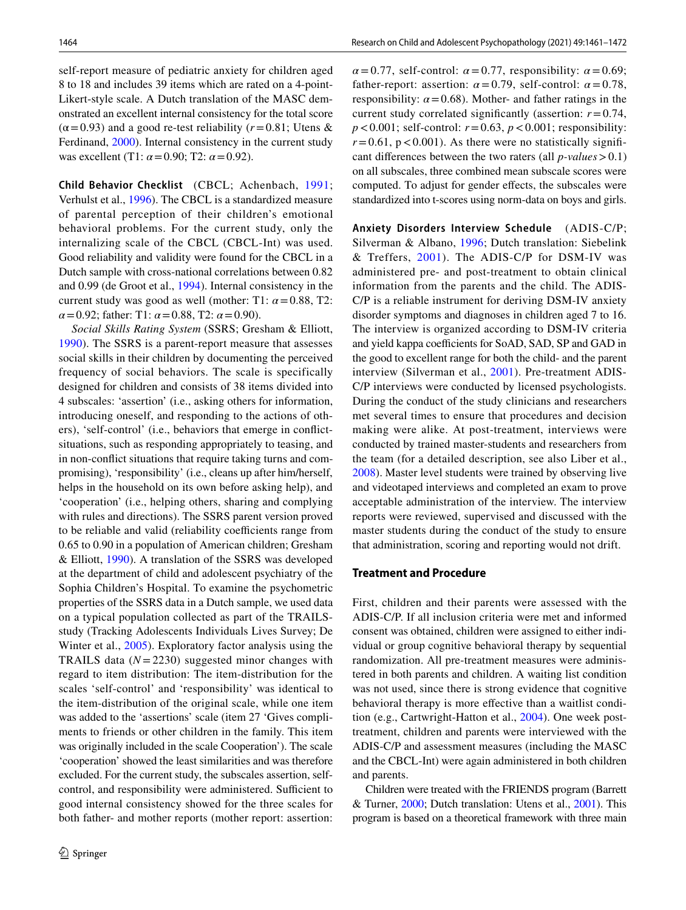self-report measure of pediatric anxiety for children aged 8 to 18 and includes 39 items which are rated on a 4-point-Likert-style scale. A Dutch translation of the MASC demonstrated an excellent internal consistency for the total score  $(\alpha = 0.93)$  and a good re-test reliability ( $r = 0.81$ ; Utens & Ferdinand, [2000](#page-12-6)). Internal consistency in the current study was excellent (T1: *α*=0.90; T2: *α*=0.92).

**Child Behavior Checklist** (CBCL; Achenbach, [1991](#page-10-4); Verhulst et al., [1996\)](#page-12-7). The CBCL is a standardized measure of parental perception of their children's emotional behavioral problems. For the current study, only the internalizing scale of the CBCL (CBCL-Int) was used. Good reliability and validity were found for the CBCL in a Dutch sample with cross-national correlations between 0.82 and 0.99 (de Groot et al., [1994](#page-10-5)). Internal consistency in the current study was good as well (mother: T1:  $\alpha$  = 0.88, T2: *α*=0.92; father: T1: *α*=0.88, T2: *α*=0.90).

*Social Skills Rating System* (SSRS; Gresham & Elliott, [1990\)](#page-11-23). The SSRS is a parent-report measure that assesses social skills in their children by documenting the perceived frequency of social behaviors. The scale is specifically designed for children and consists of 38 items divided into 4 subscales: 'assertion' (i.e., asking others for information, introducing oneself, and responding to the actions of others), 'self-control' (i.e., behaviors that emerge in confictsituations, such as responding appropriately to teasing, and in non-confict situations that require taking turns and compromising), 'responsibility' (i.e., cleans up after him/herself, helps in the household on its own before asking help), and 'cooperation' (i.e., helping others, sharing and complying with rules and directions). The SSRS parent version proved to be reliable and valid (reliability coefficients range from 0.65 to 0.90 in a population of American children; Gresham & Elliott, [1990\)](#page-11-23). A translation of the SSRS was developed at the department of child and adolescent psychiatry of the Sophia Children's Hospital. To examine the psychometric properties of the SSRS data in a Dutch sample, we used data on a typical population collected as part of the TRAILSstudy (Tracking Adolescents Individuals Lives Survey; De Winter et al., [2005](#page-10-6)). Exploratory factor analysis using the TRAILS data (*N*=2230) suggested minor changes with regard to item distribution: The item-distribution for the scales 'self-control' and 'responsibility' was identical to the item-distribution of the original scale, while one item was added to the 'assertions' scale (item 27 'Gives compliments to friends or other children in the family. This item was originally included in the scale Cooperation'). The scale 'cooperation' showed the least similarities and was therefore excluded. For the current study, the subscales assertion, selfcontrol, and responsibility were administered. Sufficient to good internal consistency showed for the three scales for both father- and mother reports (mother report: assertion:  $\alpha = 0.77$ , self-control:  $\alpha = 0.77$ , responsibility:  $\alpha = 0.69$ ; father-report: assertion:  $\alpha = 0.79$ , self-control:  $\alpha = 0.78$ , responsibility:  $\alpha$  = 0.68). Mother- and father ratings in the current study correlated signifcantly (assertion: *r*=0.74,  $p < 0.001$ ; self-control:  $r = 0.63$ ,  $p < 0.001$ ; responsibility:  $r = 0.61$ ,  $p < 0.001$ ). As there were no statistically significant diferences between the two raters (all *p-values*>0.1) on all subscales, three combined mean subscale scores were computed. To adjust for gender efects, the subscales were standardized into t-scores using norm-data on boys and girls.

**Anxiety Disorders Interview Schedule** (ADIS-C/P; Silverman & Albano, [1996](#page-12-5); Dutch translation: Siebelink & Treffers, [2001](#page-12-4)). The ADIS-C/P for DSM-IV was administered pre- and post-treatment to obtain clinical information from the parents and the child. The ADIS-C/P is a reliable instrument for deriving DSM-IV anxiety disorder symptoms and diagnoses in children aged 7 to 16. The interview is organized according to DSM-IV criteria and yield kappa coefficients for SoAD, SAD, SP and GAD in the good to excellent range for both the child- and the parent interview (Silverman et al., [2001\)](#page-12-8). Pre-treatment ADIS-C/P interviews were conducted by licensed psychologists. During the conduct of the study clinicians and researchers met several times to ensure that procedures and decision making were alike. At post-treatment, interviews were conducted by trained master-students and researchers from the team (for a detailed description, see also Liber et al., [2008](#page-11-19)). Master level students were trained by observing live and videotaped interviews and completed an exam to prove acceptable administration of the interview. The interview reports were reviewed, supervised and discussed with the master students during the conduct of the study to ensure that administration, scoring and reporting would not drift.

#### **Treatment and Procedure**

First, children and their parents were assessed with the ADIS-C/P. If all inclusion criteria were met and informed consent was obtained, children were assigned to either individual or group cognitive behavioral therapy by sequential randomization. All pre-treatment measures were administered in both parents and children. A waiting list condition was not used, since there is strong evidence that cognitive behavioral therapy is more efective than a waitlist condition (e.g., Cartwright-Hatton et al., [2004\)](#page-10-7). One week posttreatment, children and parents were interviewed with the ADIS-C/P and assessment measures (including the MASC and the CBCL-Int) were again administered in both children and parents.

Children were treated with the FRIENDS program (Barrett & Turner, [2000](#page-10-8); Dutch translation: Utens et al., [2001](#page-12-9)). This program is based on a theoretical framework with three main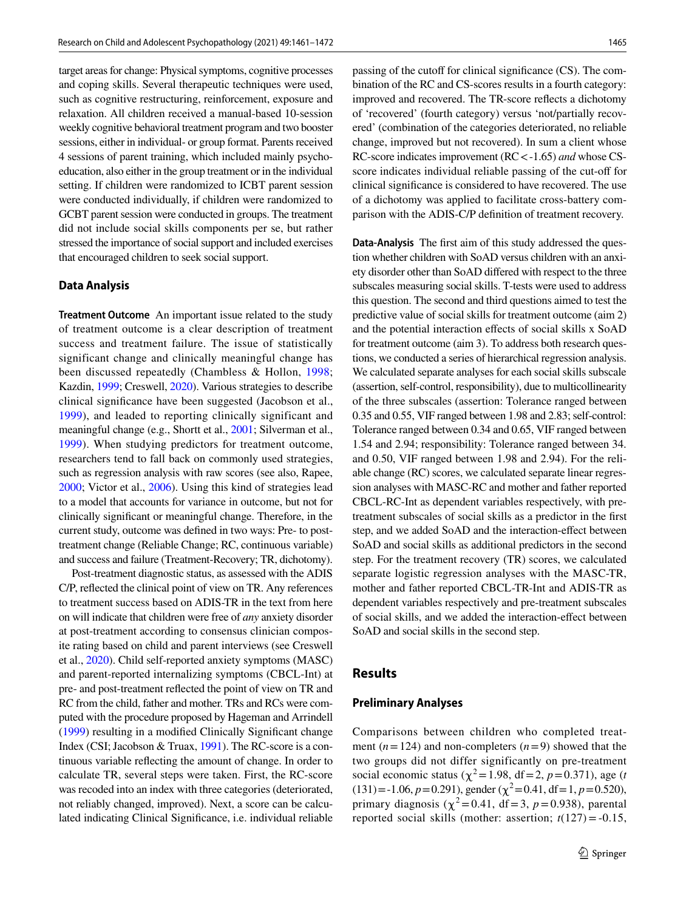target areas for change: Physical symptoms, cognitive processes and coping skills. Several therapeutic techniques were used, such as cognitive restructuring, reinforcement, exposure and relaxation. All children received a manual-based 10-session weekly cognitive behavioral treatment program and two booster sessions, either in individual- or group format. Parents received 4 sessions of parent training, which included mainly psychoeducation, also either in the group treatment or in the individual setting. If children were randomized to ICBT parent session were conducted individually, if children were randomized to GCBT parent session were conducted in groups. The treatment did not include social skills components per se, but rather stressed the importance of social support and included exercises that encouraged children to seek social support.

#### **Data Analysis**

**Treatment Outcome** An important issue related to the study of treatment outcome is a clear description of treatment success and treatment failure. The issue of statistically significant change and clinically meaningful change has been discussed repeatedly (Chambless & Hollon, [1998](#page-10-9); Kazdin, [1999;](#page-11-24) Creswell, [2020](#page-10-10)). Various strategies to describe clinical signifcance have been suggested (Jacobson et al., [1999\)](#page-11-25), and leaded to reporting clinically significant and meaningful change (e.g., Shortt et al., [2001](#page-11-26); Silverman et al., [1999\)](#page-12-10). When studying predictors for treatment outcome, researchers tend to fall back on commonly used strategies, such as regression analysis with raw scores (see also, Rapee, [2000;](#page-11-27) Victor et al., [2006\)](#page-12-11). Using this kind of strategies lead to a model that accounts for variance in outcome, but not for clinically signifcant or meaningful change. Therefore, in the current study, outcome was defned in two ways: Pre- to posttreatment change (Reliable Change; RC, continuous variable) and success and failure (Treatment-Recovery; TR, dichotomy).

Post-treatment diagnostic status, as assessed with the ADIS C/P, refected the clinical point of view on TR. Any references to treatment success based on ADIS-TR in the text from here on will indicate that children were free of *any* anxiety disorder at post-treatment according to consensus clinician composite rating based on child and parent interviews (see Creswell et al., [2020\)](#page-10-10). Child self-reported anxiety symptoms (MASC) and parent-reported internalizing symptoms (CBCL-Int) at pre- and post-treatment refected the point of view on TR and RC from the child, father and mother. TRs and RCs were computed with the procedure proposed by Hageman and Arrindell [\(1999](#page-11-28)) resulting in a modifed Clinically Signifcant change Index (CSI; Jacobson & Truax, [1991](#page-11-29)). The RC-score is a continuous variable refecting the amount of change. In order to calculate TR, several steps were taken. First, the RC-score was recoded into an index with three categories (deteriorated, not reliably changed, improved). Next, a score can be calculated indicating Clinical Signifcance, i.e. individual reliable passing of the cutoff for clinical significance (CS). The combination of the RC and CS-scores results in a fourth category: improved and recovered. The TR-score refects a dichotomy of 'recovered' (fourth category) versus 'not/partially recovered' (combination of the categories deteriorated, no reliable change, improved but not recovered). In sum a client whose RC-score indicates improvement (RC<-1.65) *and* whose CSscore indicates individual reliable passing of the cut-off for clinical signifcance is considered to have recovered. The use of a dichotomy was applied to facilitate cross-battery comparison with the ADIS-C/P defnition of treatment recovery.

**Data‑Analysis** The frst aim of this study addressed the question whether children with SoAD versus children with an anxiety disorder other than SoAD difered with respect to the three subscales measuring social skills. T-tests were used to address this question. The second and third questions aimed to test the predictive value of social skills for treatment outcome (aim 2) and the potential interaction efects of social skills x SoAD for treatment outcome (aim 3). To address both research questions, we conducted a series of hierarchical regression analysis. We calculated separate analyses for each social skills subscale (assertion, self-control, responsibility), due to multicollinearity of the three subscales (assertion: Tolerance ranged between 0.35 and 0.55, VIF ranged between 1.98 and 2.83; self-control: Tolerance ranged between 0.34 and 0.65, VIF ranged between 1.54 and 2.94; responsibility: Tolerance ranged between 34. and 0.50, VIF ranged between 1.98 and 2.94). For the reliable change (RC) scores, we calculated separate linear regression analyses with MASC-RC and mother and father reported CBCL-RC-Int as dependent variables respectively, with pretreatment subscales of social skills as a predictor in the frst step, and we added SoAD and the interaction-efect between SoAD and social skills as additional predictors in the second step. For the treatment recovery (TR) scores, we calculated separate logistic regression analyses with the MASC-TR, mother and father reported CBCL-TR-Int and ADIS-TR as dependent variables respectively and pre-treatment subscales of social skills, and we added the interaction-efect between SoAD and social skills in the second step.

### **Results**

#### **Preliminary Analyses**

Comparisons between children who completed treatment  $(n=124)$  and non-completers  $(n=9)$  showed that the two groups did not differ significantly on pre-treatment social economic status ( $\chi^2$ =1.98, df = 2, *p* = 0.371), age (*t*  $(131) = -1.06$ ,  $p = 0.291$ ), gender ( $\chi^2 = 0.41$ , df = 1,  $p = 0.520$ ), primary diagnosis ( $\chi^2$ =0.41, df = 3, *p* = 0.938), parental reported social skills (mother: assertion;  $t(127) = -0.15$ ,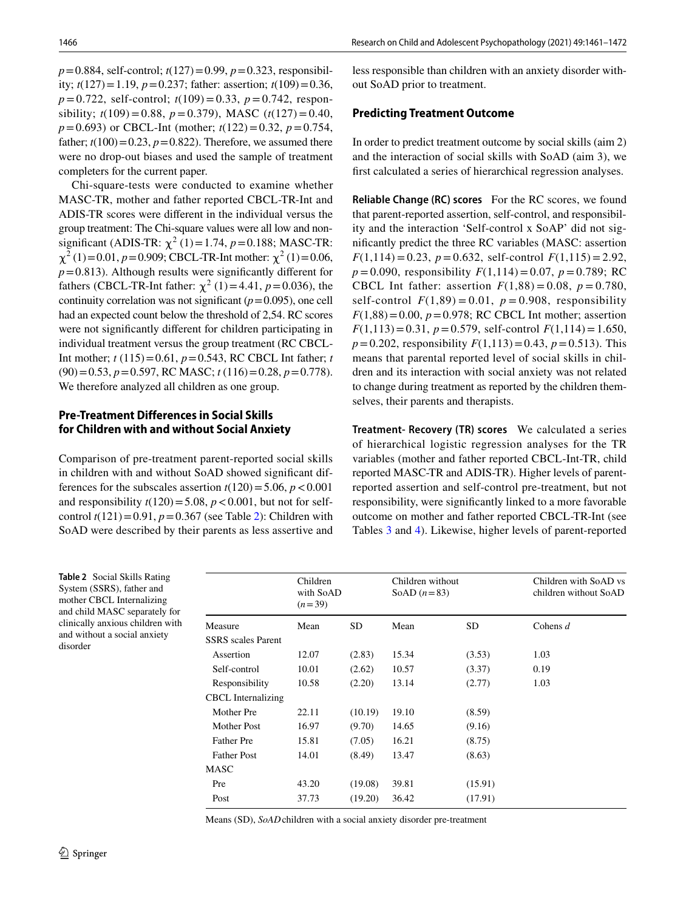*p*=0.884, self-control; *t*(127)=0.99, *p*=0.323, responsibility;  $t(127) = 1.19$ ,  $p = 0.237$ ; father: assertion;  $t(109) = 0.36$ , *p*=0.722, self-control; *t*(109)=0.33, *p*=0.742, responsibility; *t*(109)=0.88, *p*=0.379), MASC (*t*(127)=0.40, *p*=0.693) or CBCL-Int (mother; *t*(122)=0.32, *p*=0.754, father;  $t(100)=0.23$ ,  $p=0.822$ ). Therefore, we assumed there were no drop-out biases and used the sample of treatment completers for the current paper.

Chi-square-tests were conducted to examine whether MASC-TR, mother and father reported CBCL-TR-Int and ADIS-TR scores were diferent in the individual versus the group treatment: The Chi-square values were all low and nonsignificant (ADIS-TR:  $\chi^2$  (1) = 1.74, *p* = 0.188; MASC-TR:  $\chi^2$  (1)=0.01, *p*=0.909; CBCL-TR-Int mother:  $\chi^2$  (1)=0.06,  $p=0.813$ ). Although results were significantly different for fathers (CBCL-TR-Int father:  $\chi^2$  (1)=4.41, *p* = 0.036), the continuity correlation was not significant  $(p=0.095)$ , one cell had an expected count below the threshold of 2,54. RC scores were not signifcantly diferent for children participating in individual treatment versus the group treatment (RC CBCL-Int mother; *t* (115)=0.61, *p*=0.543, RC CBCL Int father; *t* (90)=0.53, *p*=0.597, RC MASC; *t* (116)=0.28, *p*=0.778). We therefore analyzed all children as one group.

## **Pre‑Treatment Differences in Social Skills for Children with and without Social Anxiety**

Comparison of pre-treatment parent-reported social skills in children with and without SoAD showed signifcant differences for the subscales assertion  $t(120) = 5.06$ ,  $p < 0.001$ and responsibility  $t(120) = 5.08$ ,  $p < 0.001$ , but not for selfcontrol  $t(121) = 0.91$ ,  $p = 0.367$  (see Table [2](#page-6-0)): Children with SoAD were described by their parents as less assertive and

less responsible than children with an anxiety disorder without SoAD prior to treatment.

#### **Predicting Treatment Outcome**

In order to predict treatment outcome by social skills (aim 2) and the interaction of social skills with SoAD (aim 3), we frst calculated a series of hierarchical regression analyses.

**Reliable Change (RC) scores** For the RC scores, we found that parent-reported assertion, self-control, and responsibility and the interaction 'Self-control x SoAP' did not signifcantly predict the three RC variables (MASC: assertion  $F(1,114) = 0.23$ ,  $p = 0.632$ , self-control  $F(1,115) = 2.92$ ,  $p = 0.090$ , responsibility  $F(1,114) = 0.07$ ,  $p = 0.789$ ; RC CBCL Int father: assertion  $F(1,88) = 0.08$ ,  $p = 0.780$ , self-control  $F(1,89) = 0.01$ ,  $p = 0.908$ , responsibility  $F(1,88) = 0.00, p = 0.978$ ; RC CBCL Int mother; assertion  $F(1,113)=0.31, p=0.579$ , self-control  $F(1,114)=1.650$ ,  $p=0.202$ , responsibility  $F(1,113)=0.43$ ,  $p=0.513$ ). This means that parental reported level of social skills in children and its interaction with social anxiety was not related to change during treatment as reported by the children themselves, their parents and therapists.

**Treatment‑ Recovery (TR) scores** We calculated a series of hierarchical logistic regression analyses for the TR variables (mother and father reported CBCL-Int-TR, child reported MASC-TR and ADIS-TR). Higher levels of parentreported assertion and self-control pre-treatment, but not responsibility, were signifcantly linked to a more favorable outcome on mother and father reported CBCL-TR-Int (see Tables [3](#page-7-0) and [4\)](#page-7-1). Likewise, higher levels of parent-reported

<span id="page-6-0"></span>**Table 2** Social Skills Rating System (SSRS), father and mother CBCL Internalizing and child MASC separately for clinically anxious children with and without a social anxiety disorder

|                           | Children<br>with SoAD<br>$(n=39)$ | Children without<br>SoAD $(n=83)$ |       |         | Children with SoAD vs<br>children without SoAD |
|---------------------------|-----------------------------------|-----------------------------------|-------|---------|------------------------------------------------|
| Measure                   | Mean                              | SD                                | Mean  | SD      | Cohens $d$                                     |
| <b>SSRS</b> scales Parent |                                   |                                   |       |         |                                                |
| Assertion                 | 12.07                             | (2.83)                            | 15.34 | (3.53)  | 1.03                                           |
| Self-control              | 10.01                             | (2.62)                            | 10.57 | (3.37)  | 0.19                                           |
| Responsibility            | 10.58                             | (2.20)                            | 13.14 | (2.77)  | 1.03                                           |
| <b>CBCL</b> Internalizing |                                   |                                   |       |         |                                                |
| Mother Pre                | 22.11                             | (10.19)                           | 19.10 | (8.59)  |                                                |
| Mother Post               | 16.97                             | (9.70)                            | 14.65 | (9.16)  |                                                |
| <b>Father Pre</b>         | 15.81                             | (7.05)                            | 16.21 | (8.75)  |                                                |
| <b>Father Post</b>        | 14.01                             | (8.49)                            | 13.47 | (8.63)  |                                                |
| MASC                      |                                   |                                   |       |         |                                                |
| Pre                       | 43.20                             | (19.08)                           | 39.81 | (15.91) |                                                |
| Post                      | 37.73                             | (19.20)                           | 36.42 | (17.91) |                                                |
|                           |                                   |                                   |       |         |                                                |

Means (SD), *SoAD*children with a social anxiety disorder pre-treatment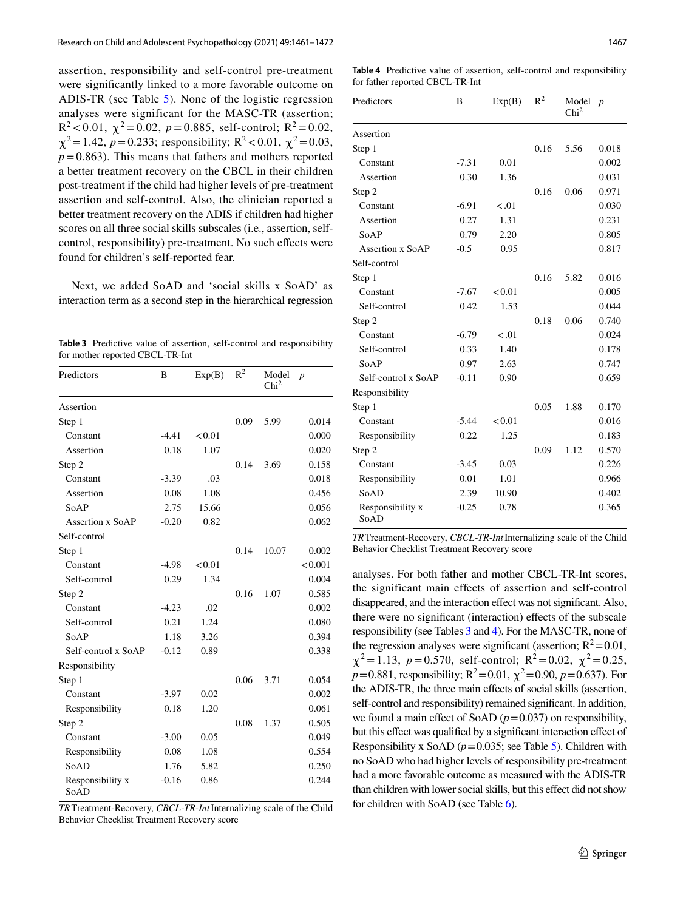assertion, responsibility and self-control pre-treatment were signifcantly linked to a more favorable outcome on ADIS-TR (see Table [5](#page-8-0)). None of the logistic regression analyses were significant for the MASC-TR (assertion;  $R^2$  < 0.01,  $\chi^2$  = 0.02,  $p$  = 0.885, self-control;  $R^2$  = 0.02,  $\chi^2$ =1.42, *p* = 0.233; responsibility; R<sup>2</sup> < 0.01,  $\chi^2$  = 0.03,  $p=0.863$ ). This means that fathers and mothers reported a better treatment recovery on the CBCL in their children post-treatment if the child had higher levels of pre-treatment assertion and self-control. Also, the clinician reported a better treatment recovery on the ADIS if children had higher scores on all three social skills subscales (i.e., assertion, selfcontrol, responsibility) pre-treatment. No such efects were found for children's self-reported fear.

Next, we added SoAD and 'social skills x SoAD' as interaction term as a second step in the hierarchical regression

<span id="page-7-0"></span>**Table 3** Predictive value of assertion, self-control and responsibility for mother reported CBCL-TR-Int

| Predictors               | B       | Exp(B) | $R^2$ | Model<br>Chi <sup>2</sup> | $\boldsymbol{p}$ |
|--------------------------|---------|--------|-------|---------------------------|------------------|
| Assertion                |         |        |       |                           |                  |
| Step 1                   |         |        | 0.09  | 5.99                      | 0.014            |
| Constant                 | $-4.41$ | < 0.01 |       |                           | 0.000            |
| Assertion                | 0.18    | 1.07   |       |                           | 0.020            |
| Step 2                   |         |        | 0.14  | 3.69                      | 0.158            |
| Constant                 | $-3.39$ | .03    |       |                           | 0.018            |
| Assertion                | 0.08    | 1.08   |       |                           | 0.456            |
| SoAP                     | 2.75    | 15.66  |       |                           | 0.056            |
| Assertion x SoAP         | $-0.20$ | 0.82   |       |                           | 0.062            |
| Self-control             |         |        |       |                           |                  |
| Step 1                   |         |        | 0.14  | 10.07                     | 0.002            |
| Constant                 | $-4.98$ | < 0.01 |       |                           | < 0.001          |
| Self-control             | 0.29    | 1.34   |       |                           | 0.004            |
| Step 2                   |         |        | 0.16  | 1.07                      | 0.585            |
| Constant                 | $-4.23$ | .02    |       |                           | 0.002            |
| Self-control             | 0.21    | 1.24   |       |                           | 0.080            |
| SoAP                     | 1.18    | 3.26   |       |                           | 0.394            |
| Self-control x SoAP      | $-0.12$ | 0.89   |       |                           | 0.338            |
| Responsibility           |         |        |       |                           |                  |
| Step 1                   |         |        | 0.06  | 3.71                      | 0.054            |
| Constant                 | $-3.97$ | 0.02   |       |                           | 0.002            |
| Responsibility           | 0.18    | 1.20   |       |                           | 0.061            |
| Step 2                   |         |        | 0.08  | 1.37                      | 0.505            |
| Constant                 | $-3.00$ | 0.05   |       |                           | 0.049            |
| Responsibility           | 0.08    | 1.08   |       |                           | 0.554            |
| SoAD                     | 1.76    | 5.82   |       |                           | 0.250            |
| Responsibility x<br>SoAD | $-0.16$ | 0.86   |       |                           | 0.244            |

*TR*Treatment-Recovery, *CBCL-TR-Int*Internalizing scale of the Child Behavior Checklist Treatment Recovery score

<span id="page-7-1"></span>**Table 4** Predictive value of assertion, self-control and responsibility for father reported CBCL-TR-Int

| Predictors               | B       | Exp(B) | $R^2$ | Model<br>Chi <sup>2</sup> | $\boldsymbol{p}$ |
|--------------------------|---------|--------|-------|---------------------------|------------------|
| Assertion                |         |        |       |                           |                  |
| Step 1                   |         |        | 0.16  | 5.56                      | 0.018            |
| Constant                 | $-7.31$ | 0.01   |       |                           | 0.002            |
| Assertion                | 0.30    | 1.36   |       |                           | 0.031            |
| Step 2                   |         |        | 0.16  | 0.06                      | 0.971            |
| Constant                 | $-6.91$ | $-.01$ |       |                           | 0.030            |
| Assertion                | 0.27    | 1.31   |       |                           | 0.231            |
| SoAP                     | 0.79    | 2.20   |       |                           | 0.805            |
| Assertion x SoAP         | $-0.5$  | 0.95   |       |                           | 0.817            |
| Self-control             |         |        |       |                           |                  |
| Step 1                   |         |        | 0.16  | 5.82                      | 0.016            |
| Constant                 | $-7.67$ | < 0.01 |       |                           | 0.005            |
| Self-control             | 0.42    | 1.53   |       |                           | 0.044            |
| Step 2                   |         |        | 0.18  | 0.06                      | 0.740            |
| Constant                 | $-6.79$ | < 0.01 |       |                           | 0.024            |
| Self-control             | 0.33    | 1.40   |       |                           | 0.178            |
| SoAP                     | 0.97    | 2.63   |       |                           | 0.747            |
| Self-control x SoAP      | $-0.11$ | 0.90   |       |                           | 0.659            |
| Responsibility           |         |        |       |                           |                  |
| Step 1                   |         |        | 0.05  | 1.88                      | 0.170            |
| Constant                 | $-5.44$ | < 0.01 |       |                           | 0.016            |
| Responsibility           | 0.22    | 1.25   |       |                           | 0.183            |
| Step 2                   |         |        | 0.09  | 1.12                      | 0.570            |
| Constant                 | $-3.45$ | 0.03   |       |                           | 0.226            |
| Responsibility           | 0.01    | 1.01   |       |                           | 0.966            |
| SoAD                     | 2.39    | 10.90  |       |                           | 0.402            |
| Responsibility x<br>SoAD | $-0.25$ | 0.78   |       |                           | 0.365            |

*TR*Treatment-Recovery, *CBCL-TR-Int*Internalizing scale of the Child Behavior Checklist Treatment Recovery score

analyses. For both father and mother CBCL-TR-Int scores, the significant main effects of assertion and self-control disappeared, and the interaction efect was not signifcant. Also, there were no significant (interaction) effects of the subscale responsibility (see Tables [3](#page-7-0) and [4](#page-7-1)). For the MASC-TR, none of the regression analyses were significant (assertion;  $R^2$  = 0.01,  $\chi^2 = 1.13$ ,  $p = 0.570$ , self-control;  $R^2 = 0.02$ ,  $\chi^2 = 0.25$ ,  $p=0.881$ , responsibility;  $R^2=0.01$ ,  $\chi^2=0.90$ ,  $p=0.637$ ). For the ADIS-TR, the three main efects of social skills (assertion, self-control and responsibility) remained significant. In addition, we found a main effect of SoAD  $(p=0.037)$  on responsibility, but this effect was qualified by a significant interaction effect of Responsibility x SoAD ( $p=0.035$  $p=0.035$ ; see Table 5). Children with no SoAD who had higher levels of responsibility pre-treatment had a more favorable outcome as measured with the ADIS-TR than children with lower social skills, but this effect did not show for children with SoAD (see Table [6\)](#page-8-1).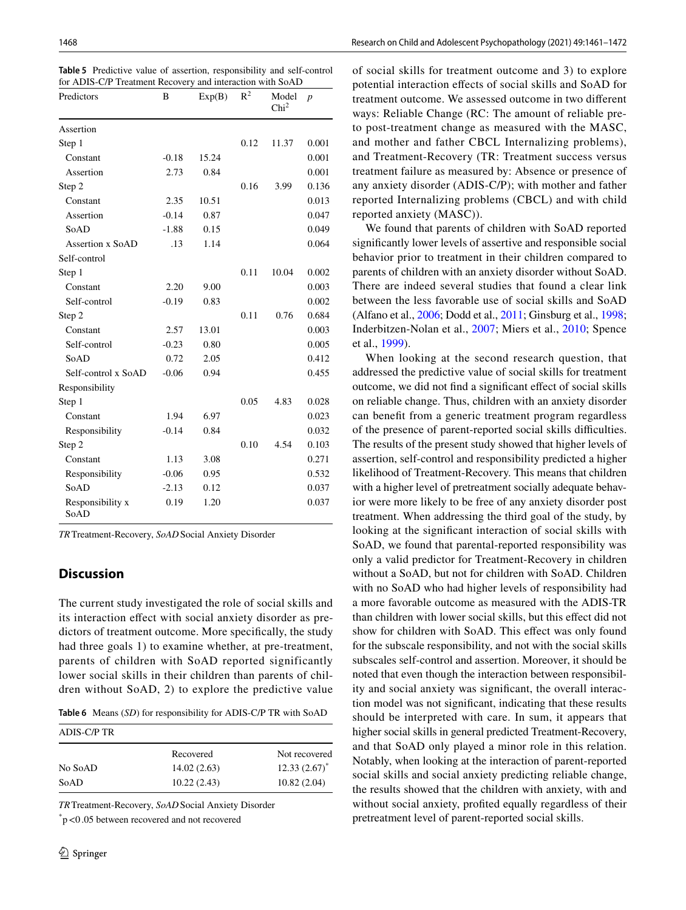<span id="page-8-0"></span>

|  |  |                                                           | <b>Table 5</b> Predictive value of assertion, responsibility and self-control |
|--|--|-----------------------------------------------------------|-------------------------------------------------------------------------------|
|  |  | for ADIS-C/P Treatment Recovery and interaction with SoAD |                                                                               |

| Predictors               | B       | Exp(B) | $R^2$ | Model<br>Chi <sup>2</sup> | $\boldsymbol{p}$ |
|--------------------------|---------|--------|-------|---------------------------|------------------|
| Assertion                |         |        |       |                           |                  |
| Step 1                   |         |        | 0.12  | 11.37                     | 0.001            |
| Constant                 | $-0.18$ | 15.24  |       |                           | 0.001            |
| Assertion                | 2.73    | 0.84   |       |                           | 0.001            |
| Step 2                   |         |        | 0.16  | 3.99                      | 0.136            |
| Constant                 | 2.35    | 10.51  |       |                           | 0.013            |
| Assertion                | $-0.14$ | 0.87   |       |                           | 0.047            |
| SoAD                     | $-1.88$ | 0.15   |       |                           | 0.049            |
| Assertion x SoAD         | .13     | 1.14   |       |                           | 0.064            |
| Self-control             |         |        |       |                           |                  |
| Step 1                   |         |        | 0.11  | 10.04                     | 0.002            |
| Constant                 | 2.20    | 9.00   |       |                           | 0.003            |
| Self-control             | $-0.19$ | 0.83   |       |                           | 0.002            |
| Step 2                   |         |        | 0.11  | 0.76                      | 0.684            |
| Constant                 | 2.57    | 13.01  |       |                           | 0.003            |
| Self-control             | $-0.23$ | 0.80   |       |                           | 0.005            |
| SoAD                     | 0.72    | 2.05   |       |                           | 0.412            |
| Self-control x SoAD      | $-0.06$ | 0.94   |       |                           | 0.455            |
| Responsibility           |         |        |       |                           |                  |
| Step 1                   |         |        | 0.05  | 4.83                      | 0.028            |
| Constant                 | 1.94    | 6.97   |       |                           | 0.023            |
| Responsibility           | $-0.14$ | 0.84   |       |                           | 0.032            |
| Step 2                   |         |        | 0.10  | 4.54                      | 0.103            |
| Constant                 | 1.13    | 3.08   |       |                           | 0.271            |
| Responsibility           | $-0.06$ | 0.95   |       |                           | 0.532            |
| SoAD                     | $-2.13$ | 0.12   |       |                           | 0.037            |
| Responsibility x<br>SoAD | 0.19    | 1.20   |       |                           | 0.037            |

*TR*Treatment-Recovery, *SoAD*Social Anxiety Disorder

## **Discussion**

The current study investigated the role of social skills and its interaction efect with social anxiety disorder as predictors of treatment outcome. More specifcally, the study had three goals 1) to examine whether, at pre-treatment, parents of children with SoAD reported significantly lower social skills in their children than parents of children without SoAD, 2) to explore the predictive value

<span id="page-8-1"></span>

|  |  |  | <b>Table 6</b> Means (SD) for responsibility for ADIS-C/P TR with SoAD |  |
|--|--|--|------------------------------------------------------------------------|--|
|--|--|--|------------------------------------------------------------------------|--|

| ADIS-C/P TR |             |                 |
|-------------|-------------|-----------------|
|             | Recovered   | Not recovered   |
| No SoAD     | 14.02(2.63) | $12.33(2.67)^*$ |
| SoAD        | 10.22(2.43) | 10.82(2.04)     |

*TR*Treatment-Recovery, *SoAD*Social Anxiety Disorder

\* p<0 .05 between recovered and not recovered

of social skills for treatment outcome and 3) to explore potential interaction efects of social skills and SoAD for treatment outcome. We assessed outcome in two diferent ways: Reliable Change (RC: The amount of reliable preto post-treatment change as measured with the MASC, and mother and father CBCL Internalizing problems), and Treatment-Recovery (TR: Treatment success versus treatment failure as measured by: Absence or presence of any anxiety disorder (ADIS-C/P); with mother and father reported Internalizing problems (CBCL) and with child reported anxiety (MASC)).

We found that parents of children with SoAD reported signifcantly lower levels of assertive and responsible social behavior prior to treatment in their children compared to parents of children with an anxiety disorder without SoAD. There are indeed several studies that found a clear link between the less favorable use of social skills and SoAD (Alfano et al., [2006](#page-10-1); Dodd et al., [2011](#page-11-13); Ginsburg et al., [1998](#page-11-14); Inderbitzen-Nolan et al., [2007](#page-11-15); Miers et al., [2010;](#page-11-16) Spence et al., [1999\)](#page-12-2).

When looking at the second research question, that addressed the predictive value of social skills for treatment outcome, we did not fnd a signifcant efect of social skills on reliable change. Thus, children with an anxiety disorder can beneft from a generic treatment program regardless of the presence of parent-reported social skills difculties. The results of the present study showed that higher levels of assertion, self-control and responsibility predicted a higher likelihood of Treatment-Recovery. This means that children with a higher level of pretreatment socially adequate behavior were more likely to be free of any anxiety disorder post treatment. When addressing the third goal of the study, by looking at the signifcant interaction of social skills with SoAD, we found that parental-reported responsibility was only a valid predictor for Treatment-Recovery in children without a SoAD, but not for children with SoAD. Children with no SoAD who had higher levels of responsibility had a more favorable outcome as measured with the ADIS-TR than children with lower social skills, but this efect did not show for children with SoAD. This effect was only found for the subscale responsibility, and not with the social skills subscales self-control and assertion. Moreover, it should be noted that even though the interaction between responsibility and social anxiety was signifcant, the overall interaction model was not signifcant, indicating that these results should be interpreted with care. In sum, it appears that higher social skills in general predicted Treatment-Recovery, and that SoAD only played a minor role in this relation. Notably, when looking at the interaction of parent-reported social skills and social anxiety predicting reliable change, the results showed that the children with anxiety, with and without social anxiety, profted equally regardless of their pretreatment level of parent-reported social skills.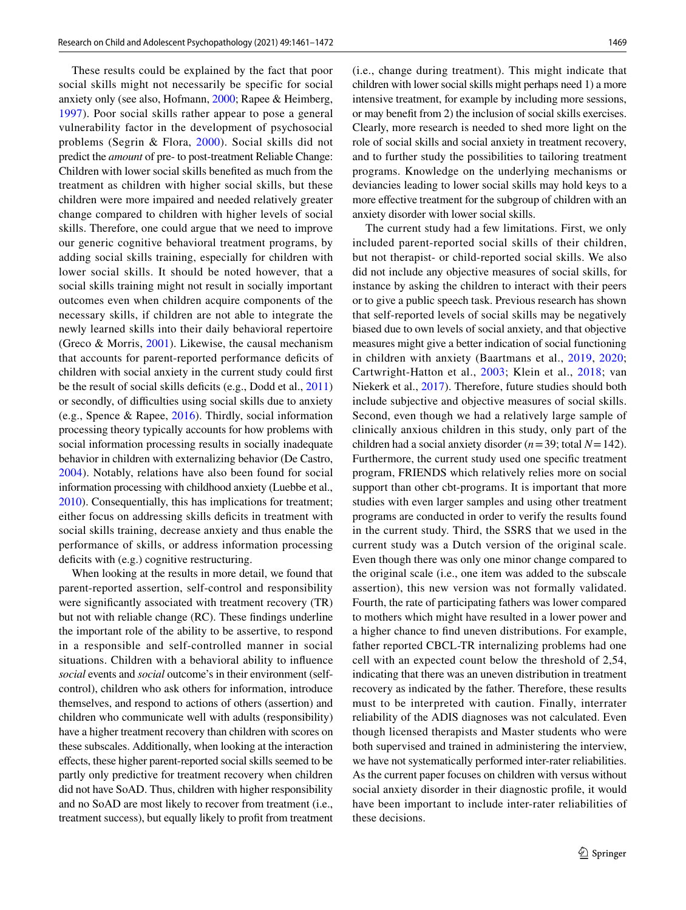These results could be explained by the fact that poor social skills might not necessarily be specific for social anxiety only (see also, Hofmann, [2000](#page-11-20); Rapee & Heimberg, [1997\)](#page-11-30). Poor social skills rather appear to pose a general vulnerability factor in the development of psychosocial problems (Segrin & Flora, [2000](#page-11-31)). Social skills did not predict the *amount* of pre- to post-treatment Reliable Change: Children with lower social skills benefted as much from the treatment as children with higher social skills, but these children were more impaired and needed relatively greater change compared to children with higher levels of social skills. Therefore, one could argue that we need to improve our generic cognitive behavioral treatment programs, by adding social skills training, especially for children with lower social skills. It should be noted however, that a social skills training might not result in socially important outcomes even when children acquire components of the necessary skills, if children are not able to integrate the newly learned skills into their daily behavioral repertoire (Greco & Morris, [2001](#page-11-32)). Likewise, the causal mechanism that accounts for parent-reported performance deficits of children with social anxiety in the current study could frst be the result of social skills deficits (e.g., Dodd et al., [2011\)](#page-11-13) or secondly, of difficulties using social skills due to anxiety (e.g., Spence & Rapee, [2016\)](#page-12-1). Thirdly, social information processing theory typically accounts for how problems with social information processing results in socially inadequate behavior in children with externalizing behavior (De Castro, [2004\)](#page-10-11). Notably, relations have also been found for social information processing with childhood anxiety (Luebbe et al., [2010](#page-11-33)). Consequentially, this has implications for treatment; either focus on addressing skills deficits in treatment with social skills training, decrease anxiety and thus enable the performance of skills, or address information processing deficits with (e.g.) cognitive restructuring.

When looking at the results in more detail, we found that parent-reported assertion, self-control and responsibility were signifcantly associated with treatment recovery (TR) but not with reliable change (RC). These fndings underline the important role of the ability to be assertive, to respond in a responsible and self-controlled manner in social situations. Children with a behavioral ability to infuence *social* events and *social* outcome's in their environment (selfcontrol), children who ask others for information, introduce themselves, and respond to actions of others (assertion) and children who communicate well with adults (responsibility) have a higher treatment recovery than children with scores on these subscales. Additionally, when looking at the interaction efects, these higher parent-reported social skills seemed to be partly only predictive for treatment recovery when children did not have SoAD. Thus, children with higher responsibility and no SoAD are most likely to recover from treatment (i.e., treatment success), but equally likely to proft from treatment (i.e., change during treatment). This might indicate that children with lower social skills might perhaps need 1) a more intensive treatment, for example by including more sessions, or may beneft from 2) the inclusion of social skills exercises. Clearly, more research is needed to shed more light on the role of social skills and social anxiety in treatment recovery, and to further study the possibilities to tailoring treatment programs. Knowledge on the underlying mechanisms or deviancies leading to lower social skills may hold keys to a more efective treatment for the subgroup of children with an anxiety disorder with lower social skills.

The current study had a few limitations. First, we only included parent-reported social skills of their children, but not therapist- or child-reported social skills. We also did not include any objective measures of social skills, for instance by asking the children to interact with their peers or to give a public speech task. Previous research has shown that self-reported levels of social skills may be negatively biased due to own levels of social anxiety, and that objective measures might give a better indication of social functioning in children with anxiety (Baartmans et al., [2019](#page-10-0), [2020](#page-10-12); Cartwright-Hatton et al., [2003;](#page-10-2) Klein et al., [2018;](#page-11-18) van Niekerk et al., [2017](#page-12-3)). Therefore, future studies should both include subjective and objective measures of social skills. Second, even though we had a relatively large sample of clinically anxious children in this study, only part of the children had a social anxiety disorder (*n*=39; total *N*=142). Furthermore, the current study used one specifc treatment program, FRIENDS which relatively relies more on social support than other cbt-programs. It is important that more studies with even larger samples and using other treatment programs are conducted in order to verify the results found in the current study. Third, the SSRS that we used in the current study was a Dutch version of the original scale. Even though there was only one minor change compared to the original scale (i.e., one item was added to the subscale assertion), this new version was not formally validated. Fourth, the rate of participating fathers was lower compared to mothers which might have resulted in a lower power and a higher chance to fnd uneven distributions. For example, father reported CBCL-TR internalizing problems had one cell with an expected count below the threshold of 2,54, indicating that there was an uneven distribution in treatment recovery as indicated by the father. Therefore, these results must to be interpreted with caution. Finally, interrater reliability of the ADIS diagnoses was not calculated. Even though licensed therapists and Master students who were both supervised and trained in administering the interview, we have not systematically performed inter-rater reliabilities. As the current paper focuses on children with versus without social anxiety disorder in their diagnostic profle, it would have been important to include inter-rater reliabilities of these decisions.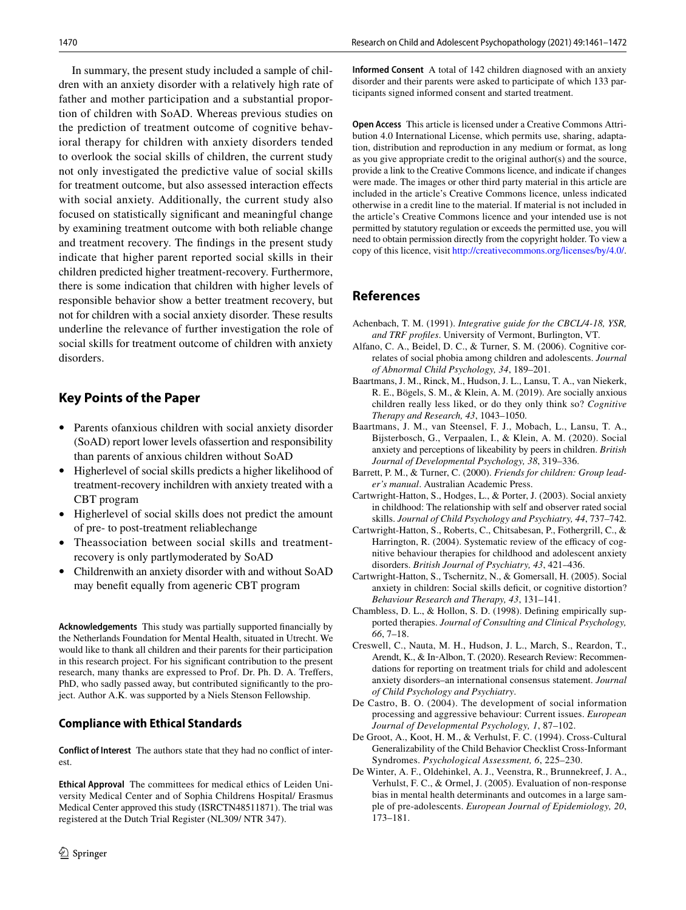In summary, the present study included a sample of children with an anxiety disorder with a relatively high rate of father and mother participation and a substantial proportion of children with SoAD. Whereas previous studies on the prediction of treatment outcome of cognitive behavioral therapy for children with anxiety disorders tended to overlook the social skills of children, the current study not only investigated the predictive value of social skills for treatment outcome, but also assessed interaction efects with social anxiety. Additionally, the current study also focused on statistically signifcant and meaningful change by examining treatment outcome with both reliable change and treatment recovery. The fndings in the present study indicate that higher parent reported social skills in their children predicted higher treatment-recovery. Furthermore, there is some indication that children with higher levels of responsible behavior show a better treatment recovery, but not for children with a social anxiety disorder. These results underline the relevance of further investigation the role of social skills for treatment outcome of children with anxiety disorders.

## **Key Points of the Paper**

- Parents ofanxious children with social anxiety disorder (SoAD) report lower levels ofassertion and responsibility than parents of anxious children without SoAD
- Higherlevel of social skills predicts a higher likelihood of treatment-recovery inchildren with anxiety treated with a CBT program
- Higherlevel of social skills does not predict the amount of pre- to post-treatment reliablechange
- Theassociation between social skills and treatmentrecovery is only partlymoderated by SoAD
- Childrenwith an anxiety disorder with and without SoAD may beneft equally from ageneric CBT program

**Acknowledgements** This study was partially supported fnancially by the Netherlands Foundation for Mental Health, situated in Utrecht. We would like to thank all children and their parents for their participation in this research project. For his signifcant contribution to the present research, many thanks are expressed to Prof. Dr. Ph. D. A. Treffers, PhD, who sadly passed away, but contributed signifcantly to the project. Author A.K. was supported by a Niels Stenson Fellowship.

#### **Compliance with Ethical Standards**

**Conflict of Interest** The authors state that they had no confict of interest.

**Ethical Approval** The committees for medical ethics of Leiden University Medical Center and of Sophia Childrens Hospital/ Erasmus Medical Center approved this study (ISRCTN48511871). The trial was registered at the Dutch Trial Register (NL309/ NTR 347).

**Informed Consent** A total of 142 children diagnosed with an anxiety disorder and their parents were asked to participate of which 133 participants signed informed consent and started treatment.

**Open Access** This article is licensed under a Creative Commons Attribution 4.0 International License, which permits use, sharing, adaptation, distribution and reproduction in any medium or format, as long as you give appropriate credit to the original author(s) and the source, provide a link to the Creative Commons licence, and indicate if changes were made. The images or other third party material in this article are included in the article's Creative Commons licence, unless indicated otherwise in a credit line to the material. If material is not included in the article's Creative Commons licence and your intended use is not permitted by statutory regulation or exceeds the permitted use, you will need to obtain permission directly from the copyright holder. To view a copy of this licence, visit<http://creativecommons.org/licenses/by/4.0/>.

## **References**

- <span id="page-10-4"></span>Achenbach, T. M. (1991). *Integrative guide for the CBCL/4-18, YSR, and TRF profles*. University of Vermont, Burlington, VT.
- <span id="page-10-1"></span>Alfano, C. A., Beidel, D. C., & Turner, S. M. (2006). Cognitive correlates of social phobia among children and adolescents. *Journal of Abnormal Child Psychology, 34*, 189–201.
- <span id="page-10-0"></span>Baartmans, J. M., Rinck, M., Hudson, J. L., Lansu, T. A., van Niekerk, R. E., Bögels, S. M., & Klein, A. M. (2019). Are socially anxious children really less liked, or do they only think so? *Cognitive Therapy and Research, 43*, 1043–1050.
- <span id="page-10-12"></span>Baartmans, J. M., van Steensel, F. J., Mobach, L., Lansu, T. A., Bijsterbosch, G., Verpaalen, I., & Klein, A. M. (2020). Social anxiety and perceptions of likeability by peers in children. *British Journal of Developmental Psychology, 38*, 319–336.
- <span id="page-10-8"></span>Barrett, P. M., & Turner, C. (2000). *Friends for children: Group leader's manual*. Australian Academic Press.
- <span id="page-10-2"></span>Cartwright-Hatton, S., Hodges, L., & Porter, J. (2003). Social anxiety in childhood: The relationship with self and observer rated social skills. *Journal of Child Psychology and Psychiatry, 44*, 737–742.
- <span id="page-10-7"></span>Cartwright-Hatton, S., Roberts, C., Chitsabesan, P., Fothergrill, C., & Harrington, R. (2004). Systematic review of the efficacy of cognitive behaviour therapies for childhood and adolescent anxiety disorders. *British Journal of Psychiatry, 43*, 421–436.
- <span id="page-10-3"></span>Cartwright-Hatton, S., Tschernitz, N., & Gomersall, H. (2005). Social anxiety in children: Social skills deficit, or cognitive distortion? *Behaviour Research and Therapy, 43*, 131–141.
- <span id="page-10-9"></span>Chambless, D. L., & Hollon, S. D. (1998). Defning empirically supported therapies. *Journal of Consulting and Clinical Psychology, 66*, 7–18.
- <span id="page-10-10"></span>Creswell, C., Nauta, M. H., Hudson, J. L., March, S., Reardon, T., Arendt, K., & In‐Albon, T. (2020). Research Review: Recommendations for reporting on treatment trials for child and adolescent anxiety disorders–an international consensus statement. *Journal of Child Psychology and Psychiatry*.
- <span id="page-10-11"></span>De Castro, B. O. (2004). The development of social information processing and aggressive behaviour: Current issues. *European Journal of Developmental Psychology, 1*, 87–102.
- <span id="page-10-5"></span>De Groot, A., Koot, H. M., & Verhulst, F. C. (1994). Cross-Cultural Generalizability of the Child Behavior Checklist Cross-Informant Syndromes. *Psychological Assessment, 6*, 225–230.
- <span id="page-10-6"></span>De Winter, A. F., Oldehinkel, A. J., Veenstra, R., Brunnekreef, J. A., Verhulst, F. C., & Ormel, J. (2005). Evaluation of non-response bias in mental health determinants and outcomes in a large sample of pre-adolescents. *European Journal of Epidemiology, 20*, 173–181.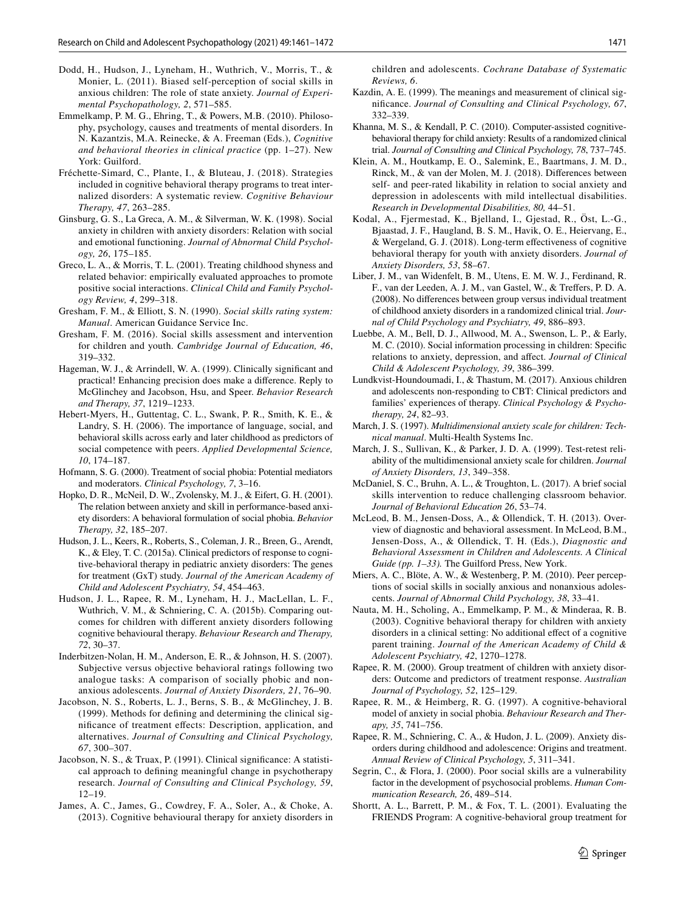- <span id="page-11-13"></span>Dodd, H., Hudson, J., Lyneham, H., Wuthrich, V., Morris, T., & Monier, L. (2011). Biased self-perception of social skills in anxious children: The role of state anxiety. *Journal of Experimental Psychopathology, 2*, 571–585.
- <span id="page-11-0"></span>Emmelkamp, P. M. G., Ehring, T., & Powers, M.B. (2010). Philosophy, psychology, causes and treatments of mental disorders. In N. Kazantzis, M.A. Reinecke, & A. Freeman (Eds.), *Cognitive and behavioral theories in clinical practice* (pp. 1–27). New York: Guilford.
- <span id="page-11-1"></span>Fréchette-Simard, C., Plante, I., & Bluteau, J. (2018). Strategies included in cognitive behavioral therapy programs to treat internalized disorders: A systematic review. *Cognitive Behaviour Therapy, 47*, 263–285.
- <span id="page-11-14"></span>Ginsburg, G. S., La Greca, A. M., & Silverman, W. K. (1998). Social anxiety in children with anxiety disorders: Relation with social and emotional functioning. *Journal of Abnormal Child Psychology, 26*, 175–185.
- <span id="page-11-32"></span>Greco, L. A., & Morris, T. L. (2001). Treating childhood shyness and related behavior: empirically evaluated approaches to promote positive social interactions. *Clinical Child and Family Psychology Review, 4*, 299–318.
- <span id="page-11-23"></span>Gresham, F. M., & Elliott, S. N. (1990). *Social skills rating system: Manual*. American Guidance Service Inc.
- Gresham, F. M. (2016). Social skills assessment and intervention for children and youth. *Cambridge Journal of Education, 46*, 319–332.
- <span id="page-11-28"></span>Hageman, W. J., & Arrindell, W. A. (1999). Clinically significant and practical! Enhancing precision does make a diference. Reply to McGlinchey and Jacobson, Hsu, and Speer. *Behavior Research and Therapy, 37*, 1219–1233.
- <span id="page-11-12"></span>Hebert-Myers, H., Guttentag, C. L., Swank, P. R., Smith, K. E., & Landry, S. H. (2006). The importance of language, social, and behavioral skills across early and later childhood as predictors of social competence with peers. *Applied Developmental Science, 10*, 174–187.
- <span id="page-11-20"></span>Hofmann, S. G. (2000). Treatment of social phobia: Potential mediators and moderators. *Clinical Psychology, 7*, 3–16.
- <span id="page-11-17"></span>Hopko, D. R., McNeil, D. W., Zvolensky, M. J., & Eifert, G. H. (2001). The relation between anxiety and skill in performance-based anxiety disorders: A behavioral formulation of social phobia. *Behavior Therapy, 32*, 185–207.
- <span id="page-11-6"></span>Hudson, J. L., Keers, R., Roberts, S., Coleman, J. R., Breen, G., Arendt, K., & Eley, T. C. (2015a). Clinical predictors of response to cognitive-behavioral therapy in pediatric anxiety disorders: The genes for treatment (GxT) study. *Journal of the American Academy of Child and Adolescent Psychiatry, 54*, 454–463.
- <span id="page-11-7"></span>Hudson, J. L., Rapee, R. M., Lyneham, H. J., MacLellan, L. F., Wuthrich, V. M., & Schniering, C. A. (2015b). Comparing outcomes for children with diferent anxiety disorders following cognitive behavioural therapy. *Behaviour Research and Therapy, 72*, 30–37.
- <span id="page-11-15"></span>Inderbitzen-Nolan, H. M., Anderson, E. R., & Johnson, H. S. (2007). Subjective versus objective behavioral ratings following two analogue tasks: A comparison of socially phobic and nonanxious adolescents. *Journal of Anxiety Disorders, 21*, 76–90.
- <span id="page-11-25"></span>Jacobson, N. S., Roberts, L. J., Berns, S. B., & McGlinchey, J. B. (1999). Methods for defning and determining the clinical signifcance of treatment efects: Description, application, and alternatives. *Journal of Consulting and Clinical Psychology, 67*, 300–307.
- <span id="page-11-29"></span>Jacobson, N. S., & Truax, P. (1991). Clinical signifcance: A statistical approach to defning meaningful change in psychotherapy research. *Journal of Consulting and Clinical Psychology, 59*, 12–19.
- <span id="page-11-5"></span>James, A. C., James, G., Cowdrey, F. A., Soler, A., & Choke, A. (2013). Cognitive behavioural therapy for anxiety disorders in

children and adolescents. *Cochrane Database of Systematic Reviews, 6*.

- <span id="page-11-24"></span>Kazdin, A. E. (1999). The meanings and measurement of clinical signifcance. *Journal of Consulting and Clinical Psychology, 67*, 332–339.
- <span id="page-11-3"></span>Khanna, M. S., & Kendall, P. C. (2010). Computer-assisted cognitivebehavioral therapy for child anxiety: Results of a randomized clinical trial. *Journal of Consulting and Clinical Psychology, 78*, 737–745.
- <span id="page-11-18"></span>Klein, A. M., Houtkamp, E. O., Salemink, E., Baartmans, J. M. D., Rinck, M., & van der Molen, M. J. (2018). Diferences between self- and peer-rated likability in relation to social anxiety and depression in adolescents with mild intellectual disabilities. *Research in Developmental Disabilities, 80,* 44–51.
- <span id="page-11-8"></span>Kodal, A., Fjermestad, K., Bjelland, I., Gjestad, R., Öst, L.-G., Bjaastad, J. F., Haugland, B. S. M., Havik, O. E., Heiervang, E., & Wergeland, G. J. (2018). Long-term efectiveness of cognitive behavioral therapy for youth with anxiety disorders. *Journal of Anxiety Disorders, 53*, 58–67.
- <span id="page-11-19"></span>Liber, J. M., van Widenfelt, B. M., Utens, E. M. W. J., Ferdinand, R. F., van der Leeden, A. J. M., van Gastel, W., & Trefers, P. D. A. (2008). No diferences between group versus individual treatment of childhood anxiety disorders in a randomized clinical trial. *Journal of Child Psychology and Psychiatry, 49*, 886–893.
- <span id="page-11-33"></span>Luebbe, A. M., Bell, D. J., Allwood, M. A., Swenson, L. P., & Early, M. C. (2010). Social information processing in children: Specifc relations to anxiety, depression, and afect. *Journal of Clinical Child & Adolescent Psychology, 39*, 386–399.
- <span id="page-11-9"></span>Lundkvist-Houndoumadi, I., & Thastum, M. (2017). Anxious children and adolescents non-responding to CBT: Clinical predictors and families' experiences of therapy. *Clinical Psychology & Psychotherapy, 24*, 82–93.
- <span id="page-11-21"></span>March, J. S. (1997). *Multidimensional anxiety scale for children: Technical manual*. Multi-Health Systems Inc.
- <span id="page-11-22"></span>March, J. S., Sullivan, K., & Parker, J. D. A. (1999). Test-retest reliability of the multidimensional anxiety scale for children. *Journal of Anxiety Disorders, 13*, 349–358.
- <span id="page-11-11"></span>McDaniel, S. C., Bruhn, A. L., & Troughton, L. (2017). A brief social skills intervention to reduce challenging classroom behavior. *Journal of Behavioral Education 26*, 53–74.
- <span id="page-11-10"></span>McLeod, B. M., Jensen-Doss, A., & Ollendick, T. H. (2013). Overview of diagnostic and behavioral assessment. In McLeod, B.M., Jensen-Doss, A., & Ollendick, T. H. (Eds.), *Diagnostic and Behavioral Assessment in Children and Adolescents. A Clinical Guide (pp. 1–33).* The Guilford Press, New York.
- <span id="page-11-16"></span>Miers, A. C., Blöte, A. W., & Westenberg, P. M. (2010). Peer perceptions of social skills in socially anxious and nonanxious adolescents. *Journal of Abnormal Child Psychology, 38*, 33–41.
- <span id="page-11-2"></span>Nauta, M. H., Scholing, A., Emmelkamp, P. M., & Minderaa, R. B. (2003). Cognitive behavioral therapy for children with anxiety disorders in a clinical setting: No additional efect of a cognitive parent training. *Journal of the American Academy of Child & Adolescent Psychiatry, 42*, 1270–1278.
- <span id="page-11-27"></span>Rapee, R. M. (2000). Group treatment of children with anxiety disorders: Outcome and predictors of treatment response. *Australian Journal of Psychology, 52*, 125–129.
- <span id="page-11-30"></span>Rapee, R. M., & Heimberg, R. G. (1997). A cognitive-behavioral model of anxiety in social phobia. *Behaviour Research and Therapy, 35*, 741–756.
- <span id="page-11-4"></span>Rapee, R. M., Schniering, C. A., & Hudon, J. L. (2009). Anxiety disorders during childhood and adolescence: Origins and treatment. *Annual Review of Clinical Psychology, 5*, 311–341.
- <span id="page-11-31"></span>Segrin, C., & Flora, J. (2000). Poor social skills are a vulnerability factor in the development of psychosocial problems. *Human Communication Research, 26*, 489–514.
- <span id="page-11-26"></span>Shortt, A. L., Barrett, P. M., & Fox, T. L. (2001). Evaluating the FRIENDS Program: A cognitive-behavioral group treatment for